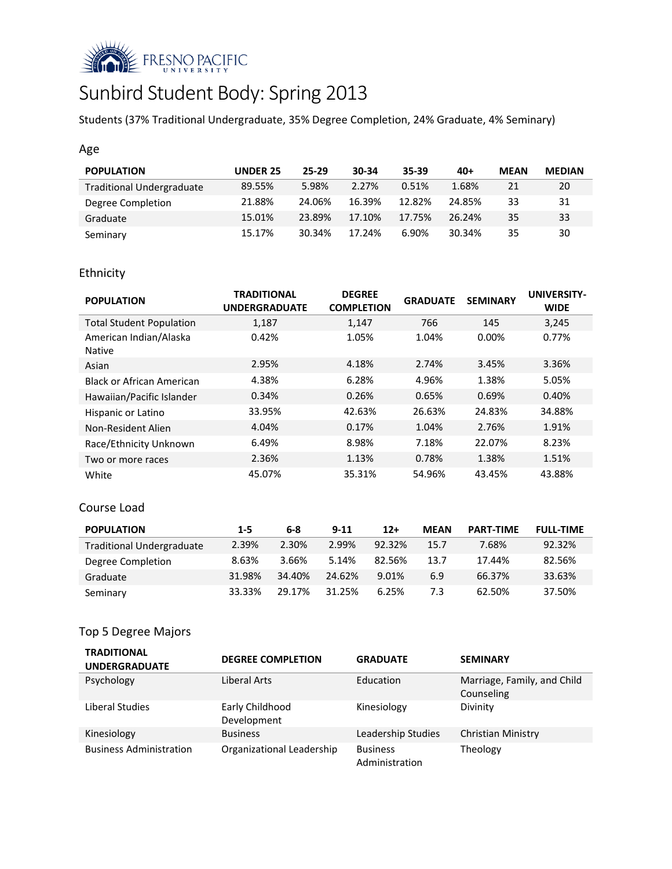

# Sunbird Student Body: Spring 2013

Students (37% Traditional Undergraduate, 35% Degree Completion, 24% Graduate, 4% Seminary)

### Age

| <b>POPULATION</b>                | <b>UNDER 25</b> | 25-29  | 30-34  | 35-39  | $40+$  | <b>MEAN</b> | <b>MEDIAN</b> |
|----------------------------------|-----------------|--------|--------|--------|--------|-------------|---------------|
| <b>Traditional Undergraduate</b> | 89.55%          | 5.98%  | 2.27%  | 0.51%  | 1.68%  | 21          | 20            |
| Degree Completion                | 21.88%          | 24.06% | 16.39% | 12.82% | 24.85% | 33          | 31            |
| Graduate                         | 15.01%          | 23.89% | 17.10% | 17.75% | 26.24% | 35          | 33            |
| Seminary                         | 15.17%          | 30.34% | 17.24% | 6.90%  | 30.34% | 35          | 30            |

# Ethnicity

| <b>POPULATION</b>                       | <b>TRADITIONAL</b><br><b>UNDERGRADUATE</b> | <b>DEGREE</b><br><b>COMPLETION</b> | <b>GRADUATE</b> | <b>SEMINARY</b> | <b>UNIVERSITY-</b><br><b>WIDE</b> |
|-----------------------------------------|--------------------------------------------|------------------------------------|-----------------|-----------------|-----------------------------------|
| <b>Total Student Population</b>         | 1,187                                      | 1,147                              | 766             | 145             | 3,245                             |
| American Indian/Alaska<br><b>Native</b> | 0.42%                                      | 1.05%                              | 1.04%           | 0.00%           | 0.77%                             |
| Asian                                   | 2.95%                                      | 4.18%                              | 2.74%           | 3.45%           | 3.36%                             |
| Black or African American               | 4.38%                                      | 6.28%                              | 4.96%           | 1.38%           | 5.05%                             |
| Hawaiian/Pacific Islander               | 0.34%                                      | 0.26%                              | 0.65%           | 0.69%           | 0.40%                             |
| Hispanic or Latino                      | 33.95%                                     | 42.63%                             | 26.63%          | 24.83%          | 34.88%                            |
| Non-Resident Alien                      | 4.04%                                      | 0.17%                              | 1.04%           | 2.76%           | 1.91%                             |
| Race/Ethnicity Unknown                  | 6.49%                                      | 8.98%                              | 7.18%           | 22.07%          | 8.23%                             |
| Two or more races                       | 2.36%                                      | 1.13%                              | 0.78%           | 1.38%           | 1.51%                             |
| White                                   | 45.07%                                     | 35.31%                             | 54.96%          | 43.45%          | 43.88%                            |

#### Course Load

| <b>POPULATION</b>                | $1 - 5$ | 6-8    | $9 - 11$ | $12+$     | <b>MEAN</b> | <b>PART-TIME</b> | <b>FULL-TIME</b> |
|----------------------------------|---------|--------|----------|-----------|-------------|------------------|------------------|
| <b>Traditional Undergraduate</b> | 2.39%   | 2.30%  | 2.99%    | $92.32\%$ | 15.7        | 7.68%            | 92.32%           |
| Degree Completion                | 8.63%   | 3.66%  | 5.14%    | 82.56%    | 13.7        | 17.44%           | 82.56%           |
| Graduate                         | 31.98%  | 34.40% | 24.62%   | 9.01%     | 6.9         | 66.37%           | 33.63%           |
| Seminary                         | 33.33%  | 29.17% | 31.25%   | 6.25%     | 7.3         | 62.50%           | 37.50%           |

# Top 5 Degree Majors

| <b>TRADITIONAL</b><br><b>UNDERGRADUATE</b> | <b>DEGREE COMPLETION</b>       | <b>GRADUATE</b>                   | <b>SEMINARY</b>                           |
|--------------------------------------------|--------------------------------|-----------------------------------|-------------------------------------------|
| Psychology                                 | Liberal Arts                   | Education                         | Marriage, Family, and Child<br>Counseling |
| Liberal Studies                            | Early Childhood<br>Development | Kinesiology                       | Divinity                                  |
| Kinesiology                                | <b>Business</b>                | Leadership Studies                | Christian Ministry                        |
| <b>Business Administration</b>             | Organizational Leadership      | <b>Business</b><br>Administration | Theology                                  |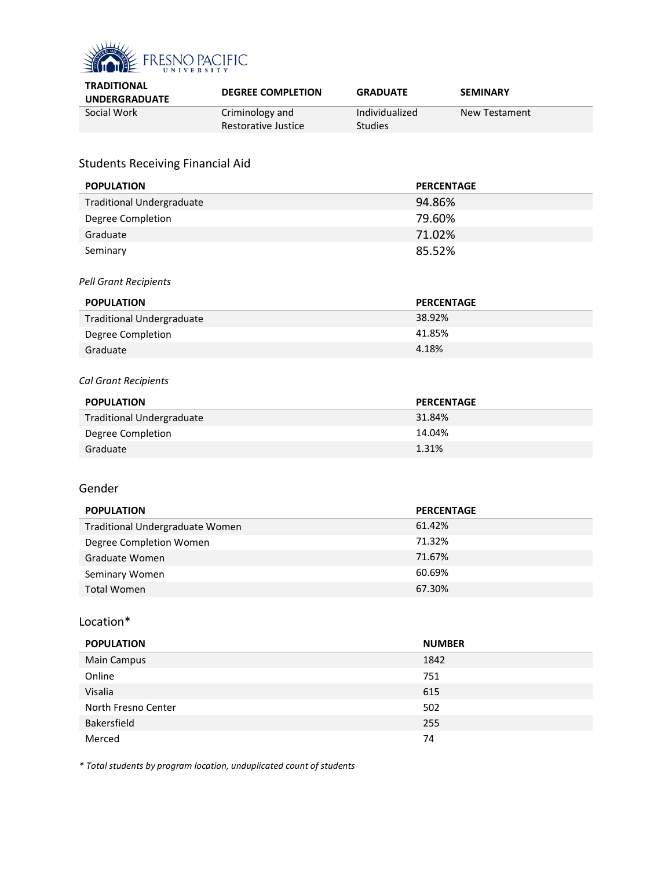

| <b>TRADITIONAL</b><br><b>UNDERGRADUATE</b> | <b>DEGREE COMPLETION</b>               | <b>GRADUATE</b>                  | <b>SEMINARY</b> |
|--------------------------------------------|----------------------------------------|----------------------------------|-----------------|
| Social Work                                | Criminology and<br>Restorative Justice | Individualized<br><b>Studies</b> | New Testament   |
|                                            |                                        |                                  |                 |

# Students Receiving Financial Aid

| <b>POPULATION</b>                | <b>PERCENTAGE</b> |
|----------------------------------|-------------------|
| <b>Traditional Undergraduate</b> | 94.86%            |
| Degree Completion                | 79.60%            |
| Graduate                         | 71.02%            |
| Seminary                         | 85.52%            |
| Pell Grant Recipients            |                   |
| <b>POPULATION</b>                | <b>PERCENTAGE</b> |
| <b>Traditional Undergraduate</b> | 38.92%            |
| Degree Completion                | 41.85%            |
| Graduate                         | 4.18%             |
|                                  |                   |
| Cal Grant Recipients             |                   |
| <b>POPULATION</b>                | <b>PERCENTAGE</b> |
| <b>Traditional Undergraduate</b> | 31.84%            |
| Degree Completion                | 14.04%            |
| Graduate                         | 1.31%             |
|                                  |                   |
| Gender                           |                   |
|                                  |                   |
| <b>POPULATION</b>                | <b>PERCENTAGE</b> |
| Traditional Undergraduate Women  | 61.42%            |
| Degree Completion Women          | 71.32%            |
| Graduate Women                   | 71.67%            |
| Seminary Women                   | 60.69%            |
| <b>Total Women</b>               | 67.30%            |
|                                  |                   |
| Location*                        |                   |
| <b>POPULATION</b>                | <b>NUMBER</b>     |
| Main Campus                      | 1842              |
| Online                           | 751               |
| Visalia                          | 615               |
| North Fresno Center              | 502               |

*\* Total students by program location, unduplicated count of students*

Bakersfield 255 Merced 74